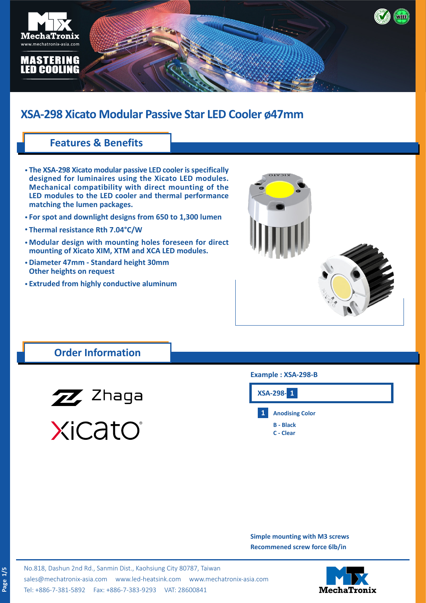

### **Features & Benefits**

- **The XSA-298 Xicato modular passive LED cooler is specifically • designed for luminaires using the Xicato LED modules. Mechanical compatibility with direct mounting of the LED modules to the LED cooler and thermal performance matching the lumen packages.**
- **For spot and downlight designs from 650 to 1,300 lumen •**
- **Thermal resistance Rth 7.04°C/W •**
- **Modular design with mounting holes foreseen for direct • mounting of Xicato XIM, XTM and XCA LED modules.**
- **Diameter 47mm Standard height 30mm • Other heights on request**
- **Extruded from highly conductive aluminum •**



## **Order Information**



XiCatO®

#### **Example : XSA-298-B**



**Simple mounting with M3 screws Recommened screw force 6lb/in**

No.818, Dashun 2nd Rd., Sanmin Dist., Kaohsiung City 80787, Taiwan [sales@mechatronix-asia.com](mailto:sales%40mechatronix-asia.com?subject=) [www.led-heatsink.com](http://www.led-heatsink.com) [www.mechatronix-asia.com](http://www.mechatronix-asia.com) Tel: +886-7-381-5892 Fax: +886-7-383-9293 VAT: 28600841

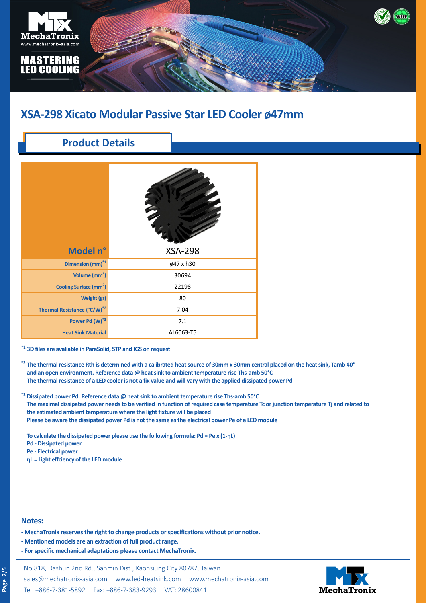

## **Product Details**

| Model n°                                | <b>XSA-298</b> |  |  |
|-----------------------------------------|----------------|--|--|
| Dimension (mm) <sup>*1</sup>            | ø47 x h30      |  |  |
| Volume (mm <sup>3</sup> )               | 30694          |  |  |
| Cooling Surface (mm <sup>2</sup> )      | 22198          |  |  |
| Weight (gr)                             | 80             |  |  |
| Thermal Resistance (°C/W) <sup>*2</sup> | 7.04           |  |  |
| Power Pd (W)*3                          | 7.1            |  |  |
| <b>Heat Sink Material</b>               | AL6063-T5      |  |  |

**\*1 3D files are avaliable in ParaSolid, STP and IGS on request**

- **\*2 The thermal resistance Rth is determined with a calibrated heat source of 30mm x 30mm central placed on the heat sink, Tamb 40°** and an open environment. Reference data @ heat sink to ambient temperature rise Ths-amb 50°C **\*3 The thermal resistance of a LED cooler is not a fix value and will vary with the applied dissipated power Pd**
- **\*3 Dissipated power Pd. Reference data @ heat sink to ambient temperature rise Ths-amb 50°C The maximal dissipated power needs to be verified in function of required case temperature Tc or junction temperature Tj and related to the estimated ambient temperature where the light fixture will be placed Please be aware the dissipated power Pd is not the same as the electrical power Pe of a LED module**

**To calculate the dissipated power please use the following formula: Pd = Pe x (1-ηL)**

- **Pd Dissipated power**
- **Pe Electrical power**
- **ηL = Light effciency of the LED module**

#### **Notes:**

- **MechaTronix reserves the right to change products or specifications without prior notice.**
- **Mentioned models are an extraction of full product range.**
- **For specific mechanical adaptations please contact MechaTronix.**

No.818, Dashun 2nd Rd., Sanmin Dist., Kaohsiung City 80787, Taiwan [sales@mechatronix-asia.com](mailto:sales%40mechatronix-asia.com?subject=) [www.led-heatsink.com](http://www.led-heatsink.com) [www.mechatronix-asia.com](http://www.mechatronix-asia.com) Tel: +886-7-381-5892 Fax: +886-7-383-9293 VAT: 28600841

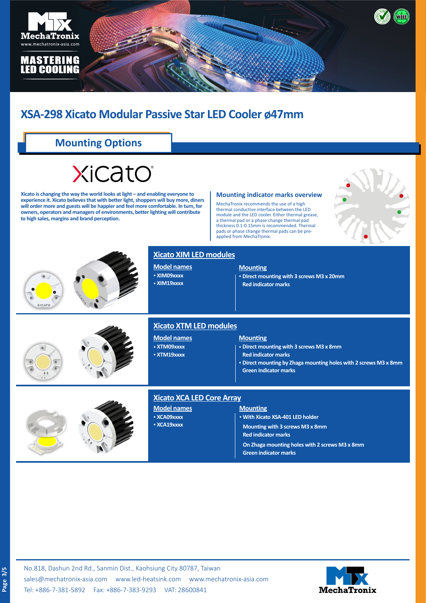

# **Mounting Options**

# XiCato

**Xicato is changing the way the world looks at light – and enabling everyone to experience it. Xicato believes that with better light, shoppers will buy more, diners will order more and guests will be happier and feel more comfortable. In turn, for owners, operators and managers of environments, better lighting will contribute to high sales, margins and brand perception.**

#### **Mounting indicator marks overview**

MechaTronix recommends the use of a high thermal conductive interface between the LED module and the LED cooler. Either thermal grease, a thermal pad or a phase change thermal pad thickness 0.1-0.15mm is recommended. Thermal pads or phase change thermal pads can be preapplied from MechaTronix.





#### **Xicato XIM LED modules**

**Model names** • **XIM09xxxx** • **XIM19xxxx**

#### **Mounting**

• **Direct mounting with 3 screws M3 x 20mm Red indicator marks**





#### **Xicato XTM LED modules**

**Model names** • **XTM09xxxx** • **XTM19xxxx**

#### **Mounting**

• **Direct mounting with 3 screws M3 x 8mm**

- **Red indicator marks**
- • **Direct mounting by Zhaga mounting holes with 2 screws M3 x 8mm Green indicator marks**





#### **Xicato XCA LED Core Array**

- **Model names**
- • **XCA09xxxx**
- • **XCA19xxxx**

#### **Mounting**

• **With Xicato XSA-401 LED holder Mounting with 3 screws M3 x 8mm Red indicator marks On Zhaga mounting holes with 2 screws M3 x 8mm Green indicator marks**



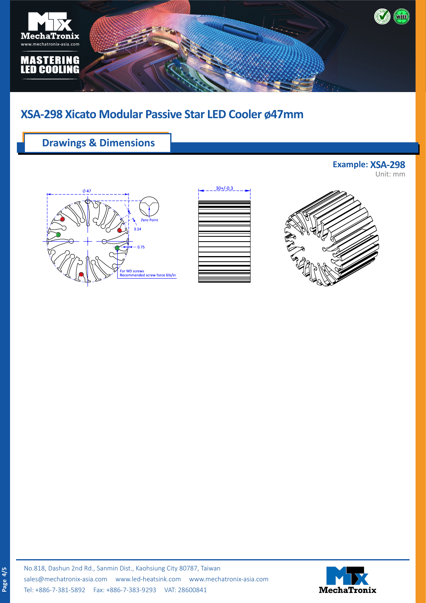

## **Drawings & Dimensions**







**Example: XSA-298**

Unit: mm